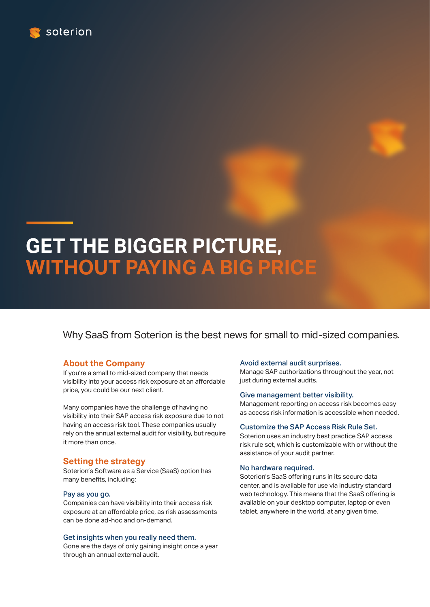

# **GET THE BIGGER PICTURE, WITHOUT PAYING A BIG PRICE**

Why SaaS from Soterion is the best news for small to mid-sized companies.

# **About the Company**

If you're a small to mid-sized company that needs visibility into your access risk exposure at an affordable price, you could be our next client.

Many companies have the challenge of having no visibility into their SAP access risk exposure due to not having an access risk tool. These companies usually rely on the annual external audit for visibility, but require it more than once.

## **Setting the strategy**

Soterion's Software as a Service (SaaS) option has many benefits, including:

## Pay as you go.

Companies can have visibility into their access risk exposure at an affordable price, as risk assessments can be done ad-hoc and on-demand.

#### Get insights when you really need them.

Gone are the days of only gaining insight once a year through an annual external audit.

## Avoid external audit surprises.

Manage SAP authorizations throughout the year, not just during external audits.

#### Give management better visibility.

Management reporting on access risk becomes easy as access risk information is accessible when needed.

## Customize the SAP Access Risk Rule Set.

Soterion uses an industry best practice SAP access risk rule set, which is customizable with or without the assistance of your audit partner.

#### No hardware required.

Soterion's SaaS offering runs in its secure data center, and is available for use via industry standard web technology. This means that the SaaS offering is available on your desktop computer, laptop or even tablet, anywhere in the world, at any given time.